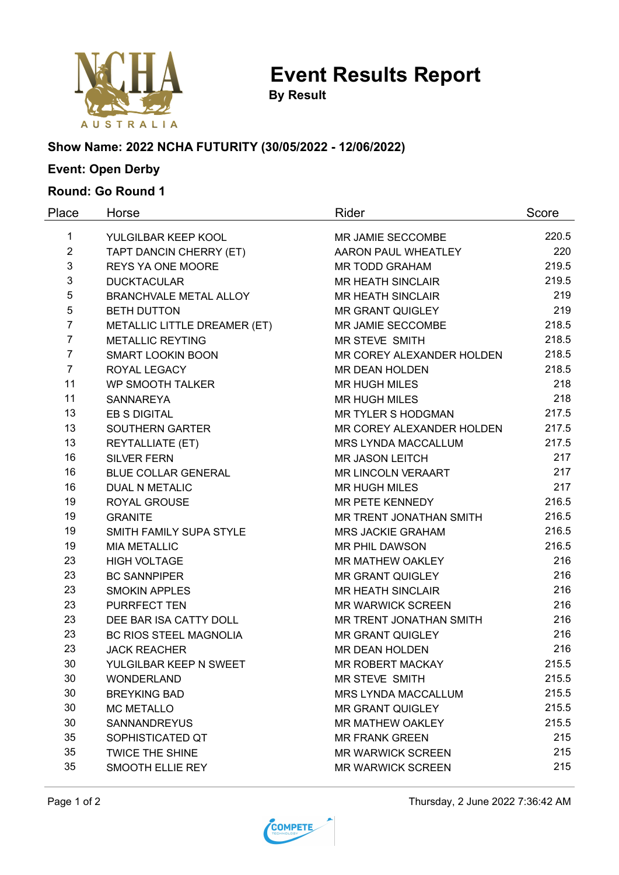

**Event Results Report**

**By Result**

### **Show Name: 2022 NCHA FUTURITY (30/05/2022 - 12/06/2022)**

# **Event: Open Derby**

### **Round: Go Round 1**

| Place          | Horse                         | Rider                      | Score |
|----------------|-------------------------------|----------------------------|-------|
| 1              | YULGILBAR KEEP KOOL           | MR JAMIE SECCOMBE          | 220.5 |
| $\overline{2}$ | TAPT DANCIN CHERRY (ET)       | AARON PAUL WHEATLEY        | 220   |
| 3              | <b>REYS YA ONE MOORE</b>      | <b>MR TODD GRAHAM</b>      | 219.5 |
| 3              | <b>DUCKTACULAR</b>            | <b>MR HEATH SINCLAIR</b>   | 219.5 |
| 5              | <b>BRANCHVALE METAL ALLOY</b> | <b>MR HEATH SINCLAIR</b>   | 219   |
| 5              | <b>BETH DUTTON</b>            | <b>MR GRANT QUIGLEY</b>    | 219   |
| $\overline{7}$ | METALLIC LITTLE DREAMER (ET)  | MR JAMIE SECCOMBE          | 218.5 |
| $\overline{7}$ | <b>METALLIC REYTING</b>       | <b>MR STEVE SMITH</b>      | 218.5 |
| $\overline{7}$ | <b>SMART LOOKIN BOON</b>      | MR COREY ALEXANDER HOLDEN  | 218.5 |
| $\overline{7}$ | ROYAL LEGACY                  | MR DEAN HOLDEN             | 218.5 |
| 11             | <b>WP SMOOTH TALKER</b>       | <b>MR HUGH MILES</b>       | 218   |
| 11             | <b>SANNAREYA</b>              | <b>MR HUGH MILES</b>       | 218   |
| 13             | <b>EB S DIGITAL</b>           | MR TYLER S HODGMAN         | 217.5 |
| 13             | SOUTHERN GARTER               | MR COREY ALEXANDER HOLDEN  | 217.5 |
| 13             | <b>REYTALLIATE (ET)</b>       | MRS LYNDA MACCALLUM        | 217.5 |
| 16             | <b>SILVER FERN</b>            | <b>MR JASON LEITCH</b>     | 217   |
| 16             | <b>BLUE COLLAR GENERAL</b>    | <b>MR LINCOLN VERAART</b>  | 217   |
| 16             | <b>DUAL N METALIC</b>         | <b>MR HUGH MILES</b>       | 217   |
| 19             | ROYAL GROUSE                  | MR PETE KENNEDY            | 216.5 |
| 19             | <b>GRANITE</b>                | MR TRENT JONATHAN SMITH    | 216.5 |
| 19             | SMITH FAMILY SUPA STYLE       | <b>MRS JACKIE GRAHAM</b>   | 216.5 |
| 19             | <b>MIA METALLIC</b>           | <b>MR PHIL DAWSON</b>      | 216.5 |
| 23             | <b>HIGH VOLTAGE</b>           | MR MATHEW OAKLEY           | 216   |
| 23             | <b>BC SANNPIPER</b>           | <b>MR GRANT QUIGLEY</b>    | 216   |
| 23             | <b>SMOKIN APPLES</b>          | <b>MR HEATH SINCLAIR</b>   | 216   |
| 23             | <b>PURRFECT TEN</b>           | <b>MR WARWICK SCREEN</b>   | 216   |
| 23             | DEE BAR ISA CATTY DOLL        | MR TRENT JONATHAN SMITH    | 216   |
| 23             | <b>BC RIOS STEEL MAGNOLIA</b> | <b>MR GRANT QUIGLEY</b>    | 216   |
| 23             | <b>JACK REACHER</b>           | <b>MR DEAN HOLDEN</b>      | 216   |
| 30             | YULGILBAR KEEP N SWEET        | <b>MR ROBERT MACKAY</b>    | 215.5 |
| 30             | <b>WONDERLAND</b>             | MR STEVE SMITH             | 215.5 |
| 30             | <b>BREYKING BAD</b>           | <b>MRS LYNDA MACCALLUM</b> | 215.5 |
| 30             | <b>MC METALLO</b>             | <b>MR GRANT QUIGLEY</b>    | 215.5 |
| 30             | <b>SANNANDREYUS</b>           | <b>MR MATHEW OAKLEY</b>    | 215.5 |
| 35             | SOPHISTICATED QT              | <b>MR FRANK GREEN</b>      | 215   |
| 35             | <b>TWICE THE SHINE</b>        | <b>MR WARWICK SCREEN</b>   | 215   |
| 35             | SMOOTH ELLIE REY              | <b>MR WARWICK SCREEN</b>   | 215   |